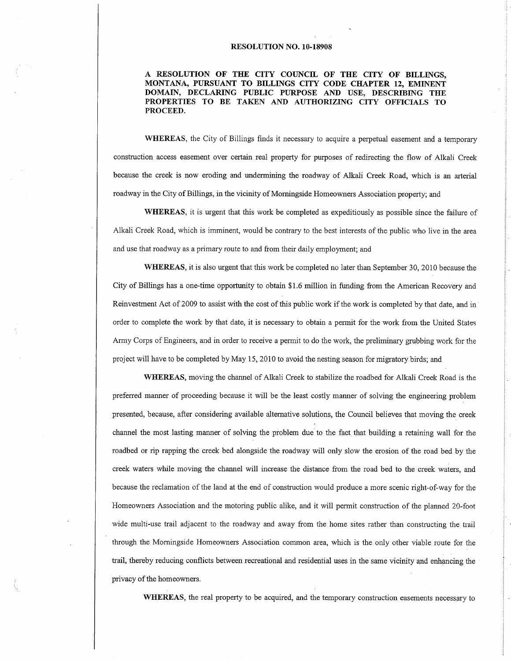## RESOLUTION NO. 10.18908

A RESOLUTION OF THE CITY COUNCIL OF THE CITY OF BILLINGS, MONTANA, PURSUANT TO BILLINGS CITY CODE CHAPTER 12, EMINENT DOMAIN, DECLARING PUBLIC PURPOSE AND USE, DESCRIBING THE PROPERTIES TO BE TAKEN AND AUTHORIZING CITY OFFICIALS TO PROCEED.

WHEREAS, the City of Billings finds it necessary to acquire a perpetual easement and a temporary construction access easement over certain real property for purposes of redirecting the flow of Alkali Creek because the creek is now eroding and undermining the roadway of Alkali Creek Road, which is an arterial roadway in the City of Billings, in the vicinity of Morningside Homeowners Association property; and

WHEREAS, it is urgent that this work be completed as expeditiously as possible since the failure of Alkali Creek Road, which is imminent, would be contrary to the best interests of the public who live in the area and use that roadway as a primary route to and from their daily employment; and

WHEREAS, it is also urgent that this work be completed no later than September 30, 2010 because the City of Billings has a one-time opportunity to obtain \$1.6 million in firnding from the American Recovery and Reinvestrnent Act of 2009 to assist with the cost of this public work if the work is completed by that date, and in order to complete the work by that date, it is necessary to obtain a permit for the work from the United States Army Corps of Engineers, and in order to receive a permit to do the work, the preliminary grubbing work for the project will have to be completed by May 15, 2010 to avoid the nesting season for migratory birds; and

WHEREAS, moving the channel of Alkali Creek to stabilize the roadbed for Alkali Creek Road is the preferred manner of proceeding because it will be the least costly manner of solving the engineering problem presented, because, after considering available altemative solutions, the Council believes that moving the creek channel the most lasting manner of solving the problem due to the fact that building a retaining wall for the roadbed or rip rapping the creek bed alongside the roadway will only slow the erosion of the road bed by the creek waters while moving the channel will increase the distance ftom the road bed to the creek waters, and because the reclamation of the land at the end of construction would produce a more scenic right-of-way for the Homeowners Association and the motoring public alike, and it will permit construction of the planned 20-foot wide multi-use trail adjacent to the roadway and away from the home sites rather than constructing the trail through the Morningside Homeowners Association common area, which is the only other viable route for the trail, thereby reducing conflicts between recreational and residential uses in the same vicinity and enhancing the privacy of the homeowners.

WHEREAS, the real property to be acquired, and the temporary construction easements necessary to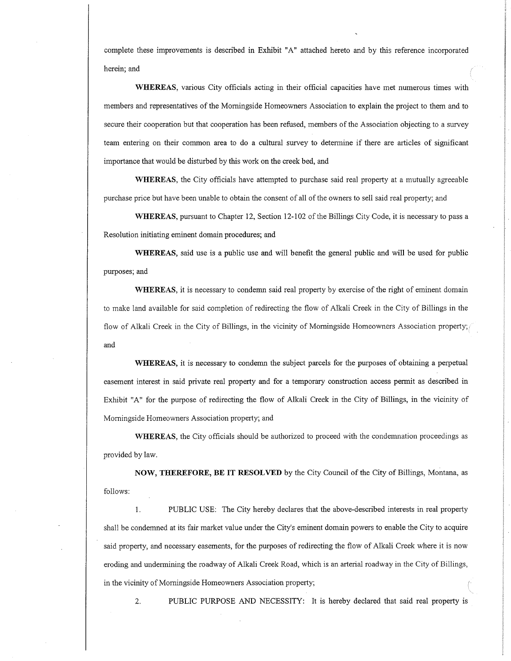complete these improvements is described in Exhibit "A" attached hereto and by this reference incorporated herein; and

WHEREAS, various City officials acting in their official capacities have met numerous times with members and representatives of the Morningside Homeowners Association to explain the project to them and to secure their cooperation but that cooperation has been refused, members of the Association objecting to a survey team entering on their common area to do a cultural survey to determine if there are articles of significant importance that would be disturbed by this work on the creek bed, and

WHEREAS, the City officials have attempted to purchase said real property at a mutually agreeable purchase price but have been unable to obtain the consent of all of the owners to sell said real property; and

WHEREAS, pursuant to Chapter 12, Section 12-102 of the Billings City Code, it is necessary to pass a Resolution initiating eminent domain procedures; and

WHEREAS, said use is a public use and will benefit the general public and will be used for public purposes; and

WHEREAS, it is necessary to condemn said real property by exercise of the right of eminent domain to make land available for said completion of redirecting the flow of Alkali Creek in the City of Billings in the flow of Alkali Creek in the City of Billings, in the vicinity of Momingside Homeowners Association property; and

WHEREAS, it is necessary to condemn the subject parcels for the purposes of obtaining a perpetual easement interest in said private real property and for a temporary construction access permit as described in Exhibit "4" for the purpose of redirecting the flow of Alkali Creek in the City of Billings, in the vicinity of Morningside Homeowners Association property; and

WHEREAS, the City officials should be authorized to proceed with the condemnation proceedings as provided by law.

NOW, THEREFORE, BE IT RESOLVED by the City Council of the City of Billings, Montana, as follows:

1. PUBLIC USE: The City hereby declares that the above-described interests in real property shall be condemned at its fair market value under the City's eminent domain powers to enable the City to acquire said property, and necessary easements, for the purposes of redirecting the flow of Alkali Creek where it is now eroding and undermining the roadway of Alkali Creek Road, which is an arterial roadway in the City of Billings, in the vicinity of Morningside Homeowners Association property;

2. PUBLIC PURPOSE AND NECESSITY: It is hereby declared that said real property is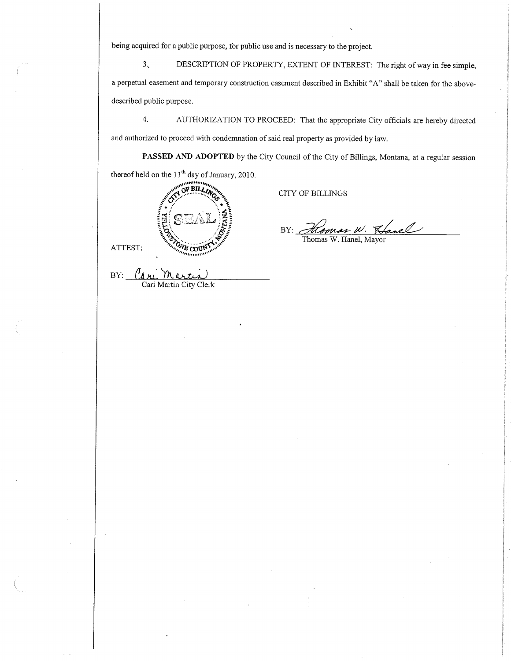being acquired for a public purpose, for public use and is necessary to the project.

3.. DESCRIPTION OF PROPERTY, EXTENT OF INTEREST: The right of way in fee simple, a perpetual easement and temporary construction easement described in Exhibit "A" shall be taken for the abovedescribed public purpose.

4. AUTHORIZATION TO PROCEED: That the appropriate City officials are hereby directed and authorized to proceed with condemnation of said real property as provided by law.

PASSED AND ADOPTED by the City Council of the City of Billings, Montana, at a regular session thereof held on the  $11<sup>th</sup>$  day of January, 2010.

|         | enning the<br>BILLING®<br>And in the Chief of Chief |
|---------|-----------------------------------------------------|
|         | Extraordination                                     |
| ATTEST: | $o_{v_R}$<br>œ<br>٠                                 |
| Β       |                                                     |

Cari Martin City Clerk

CITY OF BILLINGS

BY: Homan W. Lanel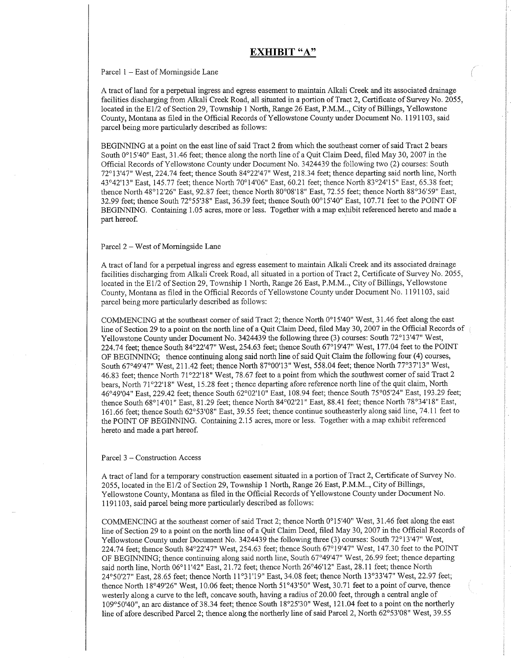# EXHIBIT "A"

#### Parcel  $1 -$  East of Morningside Lane

A tract of land for a perpetual ingress and egress easement to maintain Alkali Creek and its associated drainage facilities discharging from Alkali Creek Road, all situated in a portion of Tract 2, Certificate of Survey No. 2055, located in the E1/2 of Section 29, Township 1 North, Range 26 East, P.M.M.., City of Billings, Yellowstone County, Montana as filed in the Official Records of Yellowstone County under Document No. 1191103, said parcel being more particularly described as follows:

BEGINNING at a point on the east line of said Tract 2 from which the southeast comer of said Tract 2 bears South 0'15'40" East, 31.46 feet; thence along the north line of a Quit Claim Deed, filed May 30, 2007 in the Official Records of Yellowstone County under Document No. 3424439 the followirg two (2) courses: South 72°13'47" West, 224.74 feet; thence South 84°22'47" West, 218.34 feet; thence departing said north line, North 43"42'73" East, 145.71 feet; thence North 70'14'06" East, 60.21 feet; thence North 83"24'15" East, 65.38 feet; thence North 48°12'26" East, 92.87 feet; thence North 80°08'18" East, 72.55 feet; thence North 88°36'59" East, 32.99 feet; thence South 72°55'38" East, 36.39 feet; thence South 00°15'40" East, 107.71 feet to the POINT OF BEGINNING. Containing 1.05 acres, more or less. Together with a map exhibit referenced hereto and made a part hereof.

### Parcel 2 - West of Morningside Lane

A tract of land for a perpetual ingress and egress easement to maintain Alkali Creek and its associated drainage facilities discharging from Alkali Creek Road, all situated in a portion of Tract 2, Certificate of Survey No. 2055, located in the E1/2 of Section 29, Township 1 North, Range 26 East, P.M.M.., City of Billings, Yellowstone County, Montana as filed in the Official Records of Yellowstone County under Document No. 1191103, said parcel being more particularly described as follows:

COMMENCING at the southeast corner of said Tract 2; thence North  $0^{\circ}15'40''$  West, 31.46 feet along the east line of Section 29 to a point on the north line of a Quit Claim Deed, filed May 30, 2007 in the Official Records of Yellowstone County under Document No. 3424439 the following three (3) courses: South 72'13'47" West, 224.74 feet; thence South 84°22'47" West, 254.63 feet; thence South 67°19'47" West, 177.04 feet to the POINT OF BEGINNING; thence continuing along said north line of said Quit Claim the following four (4) courses, South 67°49'47" West, 211.42 feet; thence North 87°00'13" West, 558.04 feet; thence North 77°37'13" West, 46.83 feet; thence North 71°22'18" West, 78.67 feet to a point from which the southwest corner of said Tract 2 bears, North 71"22'18" West, 15.28 feet ; thence departing afore reference north line of the quit claim, North 46"49'04" [ast,229.42 feet; thence South 62'02'10" East, 108.94 feet; thence South 75"05'24" East, 193.29 feet; thence South 68°14'01" East, 81.29 feet; thence North 84°02'21" East, 88.41 feet; thence North 78°34'18" East, 161.66 feet; thence South 62"53'08" East, 39.55 feet; thence continue southeasterly along said hne,'74.1 1 feet to the POINT OF BEGINNING. Containing 2.15 acres, more or less. Together with a map exhibit referenced hereto and made a part hereof.

## Parcel 3 - Construction Access

A tract of land for a temporary construction easement situated in a portion of Tract 2, Certificate of Survey No. 2055, located intheEl12 of Section 29, Township 1 North, Range 26 East, P.M.M.., City of Billings, Yellowstone County, Montana as filed in the Official Records of Yellowstone County under Document No. 1191103, said parcel being more particularly described as follows:

COMMENCING at the southeast corner of said Tract 2; thence North 0°15'40" West, 31.46 feet along the east line of Section 29 to a point on the north line of a Quit Claim Deed, filed May 30, 2007 in the Official Records of Yellowstone County under Document No. 3424439 the following three (3) courses: South 72°13'47" West, 224.74 feet; thence South 84°22'47" West, 254.63 feet; thence South 67°19'47" West, 147.30 feet to the POINT OF BEGINNING; thence continuing along said north line, South 67"49'47" West, 26.99 feer; thence departing said north line, North 06°11'42" East, 21.72 feet; thence North 26°46'12" East, 28.11 feet; thence North 24°50'27" East, 28.65 feet; thence North 11°31'19" East, 34.08 feet; thence North 13°33'47" West, 22.97 feet; thence North 18°49'26" West, 10.06 feet; thence North 51°43'50" West, 30.71 feet to a point of curve, thence westerly along a curve to the left, concave south, having a radius of 20.00 feet, through a central angle of 109"50'40", an arc distance of 38.34 feet; thence South 18'25'30" 'West, 121.04 feet to a point on the northerly line of afore described Parcel 2; thence along the northerly line of said Parcel 2, North 62°53'08" West, 39.55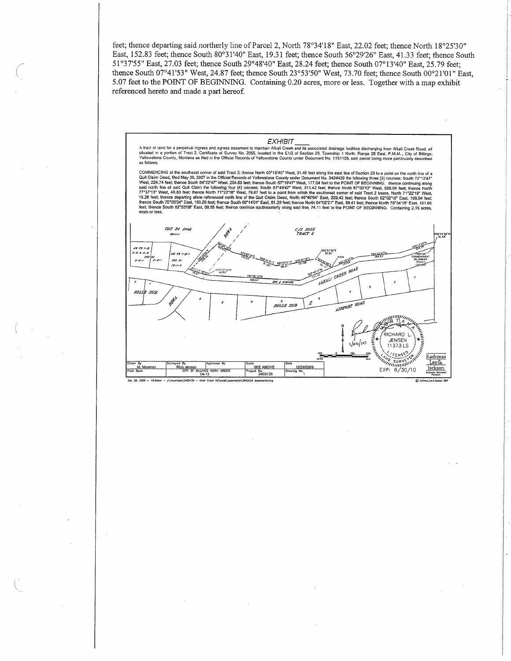feet; thence departing said northerly line of Parcel 2, North 78°34'18" East, 22.02 feet; thence North 18°25'30" East, 152.83 feet; thence South 80°31'40" East, 19.31 feet; thence South 56°29'26" East, 41.33 feet; thence South 51°37'55" East, 27.03 feet; thence South 29°48'40" East, 28.24 feet; thence South 07°13'40" East, 25.79 feet; thence South 07°41'53" West, 24.87 feet; thence South 23°53'50" West, 73.70 feet; thence South 00°21'01" East, 5.07 feet to the POINT OF BEGINNING. Containing 0.20 acres, more or less. Together with a map exhibit referenced hereto and made a part hereof.

## **EXHIBIT**

A tract of land for a perpetual ingress and egress easement to maintain Alkali Creek and its associated drainage facilities discharging from Alkali Creek Road, all<br>situated in a portion of Tract 2, Certificate of Survey No as follows

COMMENCING at the southeast comer of said Tract 2; thence North 00°15'40" West, 31.46 feet along the east line of Section 29 to a point on the north line of a COMMENCING at the southeast comer of said Tract 2; thance North 0<sup>-11</sup>540<sup>-1</sup> West, 31.46 feel along the east the of Section 29 to a point on the north line of a<br>Quit Claim Deed, filed May 30, 2007 in the Official Records